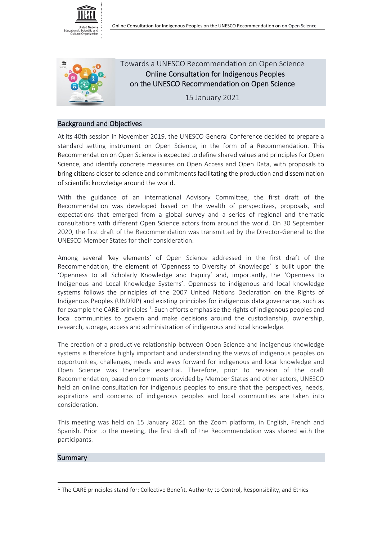



 Towards a UNESCO Recommendation on Open Science Online Consultation for Indigenous Peoples on the UNESCO Recommendation on Open Science

15 January 2021

## Background and Objectives

At its 40th session in November 2019, the UNESCO General Conference decided to prepare a standard setting instrument on Open Science, in the form of a Recommendation. This Recommendation on Open Science is expected to define shared values and principles for Open Science, and identify concrete measures on Open Access and Open Data, with proposals to bring citizens closer to science and commitments facilitating the production and dissemination of scientific knowledge around the world.

With the guidance of an international Advisory Committee, the first draft of the Recommendation was developed based on the wealth of perspectives, proposals, and expectations that emerged from a global survey and a series of regional and thematic consultations with different Open Science actors from around the world. On 30 September 2020, the first draft of the Recommendation was transmitted by the Director-General to the UNESCO Member States for their consideration.

Among several 'key elements' of Open Science addressed in the first draft of the Recommendation, the element of 'Openness to Diversity of Knowledge' is built upon the 'Openness to all Scholarly Knowledge and Inquiry' and, importantly, the 'Openness to Indigenous and Local Knowledge Systems'. Openness to indigenous and local knowledge systems follows the principles of the 2007 United Nations Declaration on the Rights of Indigenous Peoples (UNDRIP) and existing principles for indigenous data governance, such as for example the CARE principles<sup>[1](#page-0-0)</sup>. Such efforts emphasise the rights of indigenous peoples and local communities to govern and make decisions around the custodianship, ownership, research, storage, access and administration of indigenous and local knowledge.

The creation of a productive relationship between Open Science and indigenous knowledge systems is therefore highly important and understanding the views of indigenous peoples on opportunities, challenges, needs and ways forward for indigenous and local knowledge and Open Science was therefore essential. Therefore, prior to revision of the draft Recommendation, based on comments provided by Member States and other actors, UNESCO held an online consultation for indigenous peoples to ensure that the perspectives, needs, aspirations and concerns of indigenous peoples and local communities are taken into consideration.

This meeting was held on 15 January 2021 on the Zoom platform, in English, French and Spanish. Prior to the meeting, the first draft of the Recommendation was shared with the participants.

#### **Summary**

<span id="page-0-0"></span><sup>1</sup> The CARE principles stand for: Collective Benefit, Authority to Control, Responsibility, and Ethics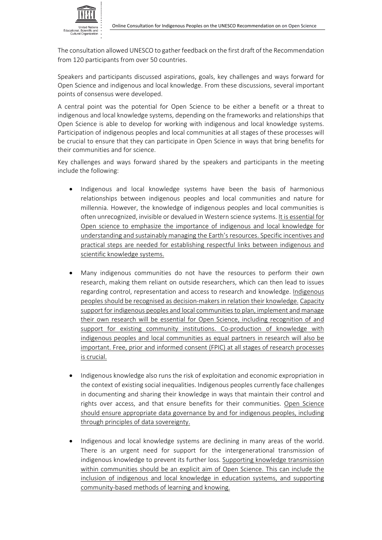

The consultation allowed UNESCO to gather feedback on the first draft of the Recommendation from 120 participants from over 50 countries.

Speakers and participants discussed aspirations, goals, key challenges and ways forward for Open Science and indigenous and local knowledge. From these discussions, several important points of consensus were developed.

A central point was the potential for Open Science to be either a benefit or a threat to indigenous and local knowledge systems, depending on the frameworks and relationships that Open Science is able to develop for working with indigenous and local knowledge systems. Participation of indigenous peoples and local communities at all stages of these processes will be crucial to ensure that they can participate in Open Science in ways that bring benefits for their communities and for science.

Key challenges and ways forward shared by the speakers and participants in the meeting include the following:

- Indigenous and local knowledge systems have been the basis of harmonious relationships between indigenous peoples and local communities and nature for millennia. However, the knowledge of indigenous peoples and local communities is often unrecognized, invisible or devalued in Western science systems. It is essential for Open science to emphasize the importance of indigenous and local knowledge for understanding and sustainably managing the Earth's resources. Specific incentives and practical steps are needed for establishing respectful links between indigenous and scientific knowledge systems.
- Many indigenous communities do not have the resources to perform their own research, making them reliant on outside researchers, which can then lead to issues regarding control, representation and access to research and knowledge. Indigenous peoples should be recognised as decision-makers in relation their knowledge. Capacity support for indigenous peoples and local communities to plan, implement and manage their own research will be essential for Open Science, including recognition of and support for existing community institutions. Co-production of knowledge with indigenous peoples and local communities as equal partners in research will also be important. Free, prior and informed consent (FPIC) at all stages of research processes is crucial.
- Indigenous knowledge also runs the risk of exploitation and economic expropriation in the context of existing social inequalities. Indigenous peoples currently face challenges in documenting and sharing their knowledge in ways that maintain their control and rights over access, and that ensure benefits for their communities. Open Science should ensure appropriate data governance by and for indigenous peoples, including through principles of data sovereignty.
- Indigenous and local knowledge systems are declining in many areas of the world. There is an urgent need for support for the intergenerational transmission of indigenous knowledge to prevent its further loss. Supporting knowledge transmission within communities should be an explicit aim of Open Science. This can include the inclusion of indigenous and local knowledge in education systems, and supporting community-based methods of learning and knowing.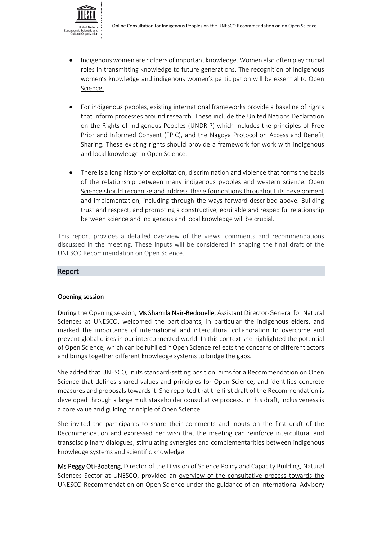

- Indigenous women are holders of important knowledge. Women also often play crucial roles in transmitting knowledge to future generations. The recognition of indigenous women's knowledge and indigenous women's participation will be essential to Open Science.
- For indigenous peoples, existing international frameworks provide a baseline of rights that inform processes around research. These include the United Nations Declaration on the Rights of Indigenous Peoples (UNDRIP) which includes the principles of Free Prior and Informed Consent (FPIC), and the Nagoya Protocol on Access and Benefit Sharing. These existing rights should provide a framework for work with indigenous and local knowledge in Open Science.
- There is a long history of exploitation, discrimination and violence that forms the basis of the relationship between many indigenous peoples and western science. Open Science should recognize and address these foundations throughout its development and implementation, including through the ways forward described above. Building trust and respect, and promoting a constructive, equitable and respectful relationship between science and indigenous and local knowledge will be crucial.

This report provides a detailed overview of the views, comments and recommendations discussed in the meeting. These inputs will be considered in shaping the final draft of the UNESCO Recommendation on Open Science.

## Report

#### Opening session

During the Opening session, Ms Shamila Nair-Bedouelle, Assistant Director-General for Natural Sciences at UNESCO, welcomed the participants, in particular the indigenous elders, and marked the importance of international and intercultural collaboration to overcome and prevent global crises in our interconnected world. In this context she highlighted the potential of Open Science, which can be fulfilled if Open Science reflects the concerns of different actors and brings together different knowledge systems to bridge the gaps.

She added that UNESCO, in its standard-setting position, aims for a Recommendation on Open Science that defines shared values and principles for Open Science, and identifies concrete measures and proposals towards it. She reported that the first draft of the Recommendation is developed through a large multistakeholder consultative process. In this draft, inclusiveness is a core value and guiding principle of Open Science.

She invited the participants to share their comments and inputs on the first draft of the Recommendation and expressed her wish that the meeting can reinforce intercultural and transdisciplinary dialogues, stimulating synergies and complementarities between indigenous knowledge systems and scientific knowledge.

Ms Peggy Oti-Boateng, Director of the Division of Science Policy and Capacity Building, Natural Sciences Sector at UNESCO, provided an overview of the consultative process towards the UNESCO Recommendation on Open Science under the guidance of an international Advisory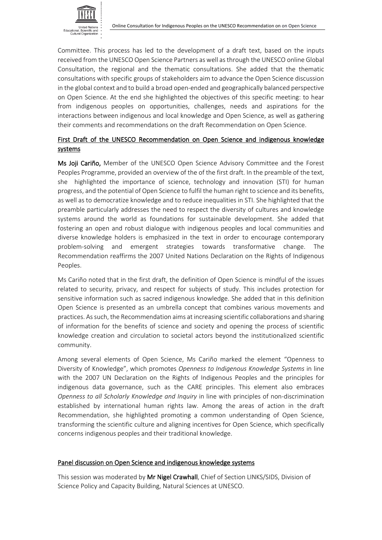

Committee. This process has led to the development of a draft text, based on the inputs received from the UNESCO Open Science Partners as well as through the UNESCO online Global Consultation, the regional and the thematic consultations. She added that the thematic consultations with specific groups of stakeholders aim to advance the Open Science discussion in the global context and to build a broad open-ended and geographically balanced perspective on Open Science. At the end she highlighted the objectives of this specific meeting: to hear from indigenous peoples on opportunities, challenges, needs and aspirations for the interactions between indigenous and local knowledge and Open Science, as well as gathering their comments and recommendations on the draft Recommendation on Open Science.

## First Draft of the UNESCO Recommendation on Open Science and indigenous knowledge systems

Ms Joji Cariño, Member of the UNESCO Open Science Advisory Committee and the Forest Peoples Programme, provided an overview of the of the first draft. In the preamble of the text, she highlighted the importance of science, technology and innovation (STI) for human progress, and the potential of Open Science to fulfil the human right to science and its benefits, as well as to democratize knowledge and to reduce inequalities in STI. She highlighted that the preamble particularly addresses the need to respect the diversity of cultures and knowledge systems around the world as foundations for sustainable development. She added that fostering an open and robust dialogue with indigenous peoples and local communities and diverse knowledge holders is emphasized in the text in order to encourage contemporary problem-solving and emergent strategies towards transformative change. The Recommendation reaffirms the 2007 United Nations Declaration on the Rights of Indigenous Peoples.

Ms Cariño noted that in the first draft, the definition of Open Science is mindful of the issues related to security, privacy, and respect for subjects of study. This includes protection for sensitive information such as sacred indigenous knowledge. She added that in this definition Open Science is presented as an umbrella concept that combines various movements and practices. As such, the Recommendation aims at increasing scientific collaborations and sharing of information for the benefits of science and society and opening the process of scientific knowledge creation and circulation to societal actors beyond the institutionalized scientific community.

Among several elements of Open Science, Ms Cariño marked the element "Openness to Diversity of Knowledge", which promotes *Openness to Indigenous Knowledge Systems* in line with the 2007 UN Declaration on the Rights of Indigenous Peoples and the principles for indigenous data governance, such as the CARE principles. This element also embraces *Openness to all Scholarly Knowledge and Inquiry* in line with principles of non-discrimination established by international human rights law. Among the areas of action in the draft Recommendation, she highlighted promoting a common understanding of Open Science, transforming the scientific culture and aligning incentives for Open Science, which specifically concerns indigenous peoples and their traditional knowledge.

#### Panel discussion on Open Science and indigenous knowledge systems

This session was moderated by Mr Nigel Crawhall, Chief of Section LINKS/SIDS, Division of Science Policy and Capacity Building, Natural Sciences at UNESCO.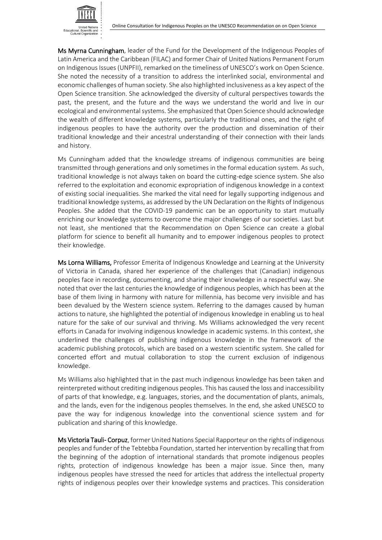

Ms Myrna Cunningham, leader of the Fund for the Development of the Indigenous Peoples of Latin America and the Caribbean (FILAC) and former Chair of United Nations Permanent Forum on Indigenous Issues (UNPFII), remarked on the timeliness of UNESCO's work on Open Science. She noted the necessity of a transition to address the interlinked social, environmental and economic challenges of human society. She also highlighted inclusiveness as a key aspect of the Open Science transition. She acknowledged the diversity of cultural perspectives towards the past, the present, and the future and the ways we understand the world and live in our ecological and environmental systems. She emphasized that Open Science should acknowledge the wealth of different knowledge systems, particularly the traditional ones, and the right of indigenous peoples to have the authority over the production and dissemination of their traditional knowledge and their ancestral understanding of their connection with their lands and history.

Ms Cunningham added that the knowledge streams of indigenous communities are being transmitted through generations and only sometimes in the formal education system. As such, traditional knowledge is not always taken on board the cutting-edge science system. She also referred to the exploitation and economic expropriation of indigenous knowledge in a context of existing social inequalities. She marked the vital need for legally supporting indigenous and traditional knowledge systems, as addressed by the UN Declaration on the Rights of Indigenous Peoples. She added that the COVID-19 pandemic can be an opportunity to start mutually enriching our knowledge systems to overcome the major challenges of our societies. Last but not least, she mentioned that the Recommendation on Open Science can create a global platform for science to benefit all humanity and to empower indigenous peoples to protect their knowledge.

Ms Lorna Williams, Professor Emerita of Indigenous Knowledge and Learning at the University of Victoria in Canada, shared her experience of the challenges that (Canadian) indigenous peoples face in recording, documenting, and sharing their knowledge in a respectful way. She noted that over the last centuries the knowledge of indigenous peoples, which has been at the base of them living in harmony with nature for millennia, has become very invisible and has been devalued by the Western science system. Referring to the damages caused by human actions to nature, she highlighted the potential of indigenous knowledge in enabling us to heal nature for the sake of our survival and thriving. Ms Williams acknowledged the very recent efforts in Canada for involving indigenous knowledge in academic systems. In this context, she underlined the challenges of publishing indigenous knowledge in the framework of the academic publishing protocols, which are based on a western scientific system. She called for concerted effort and mutual collaboration to stop the current exclusion of indigenous knowledge.

Ms Williams also highlighted that in the past much indigenous knowledge has been taken and reinterpreted without crediting indigenous peoples. This has caused the loss and inaccessibility of parts of that knowledge, e.g. languages, stories, and the documentation of plants, animals, and the lands, even for the indigenous peoples themselves. In the end, she asked UNESCO to pave the way for indigenous knowledge into the conventional science system and for publication and sharing of this knowledge.

Ms Victoria Tauli- Corpuz, former United Nations Special Rapporteur on the rights of indigenous peoples and funder of the Tebtebba Foundation, started her intervention by recalling that from the beginning of the adoption of international standards that promote indigenous peoples rights, protection of indigenous knowledge has been a major issue. Since then, many indigenous peoples have stressed the need for articles that address the intellectual property rights of indigenous peoples over their knowledge systems and practices. This consideration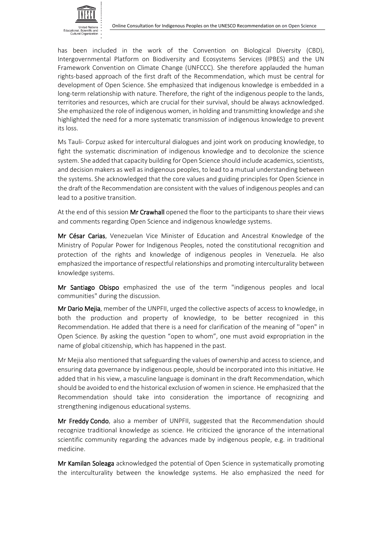

has been included in the work of the Convention on Biological Diversity (CBD), Intergovernmental Platform on Biodiversity and Ecosystems Services (IPBES) and the UN Framework Convention on Climate Change (UNFCCC). She therefore applauded the human rights-based approach of the first draft of the Recommendation, which must be central for development of Open Science. She emphasized that indigenous knowledge is embedded in a long-term relationship with nature. Therefore, the right of the indigenous people to the lands, territories and resources, which are crucial for their survival, should be always acknowledged. She emphasized the role of indigenous women, in holding and transmitting knowledge and she highlighted the need for a more systematic transmission of indigenous knowledge to prevent its loss.

Ms Tauli- Corpuz asked for intercultural dialogues and joint work on producing knowledge, to fight the systematic discrimination of indigenous knowledge and to decolonize the science system. She added that capacity building for Open Science should include academics, scientists, and decision makers as well as indigenous peoples, to lead to a mutual understanding between the systems. She acknowledged that the core values and guiding principles for Open Science in the draft of the Recommendation are consistent with the values of indigenous peoples and can lead to a positive transition.

At the end of this session Mr Crawhall opened the floor to the participants to share their views and comments regarding Open Science and indigenous knowledge systems.

Mr César Carias, Venezuelan Vice Minister of Education and Ancestral Knowledge of the Ministry of Popular Power for Indigenous Peoples, noted the constitutional recognition and protection of the rights and knowledge of indigenous peoples in Venezuela. He also emphasized the importance of respectful relationships and promoting interculturality between knowledge systems.

Mr Santiago Obispo emphasized the use of the term "indigenous peoples and local communities" during the discussion.

Mr Dario Mejia, member of the UNPFII, urged the collective aspects of access to knowledge, in both the production and property of knowledge, to be better recognized in this Recommendation. He added that there is a need for clarification of the meaning of ''open" in Open Science. By asking the question "open to whom", one must avoid expropriation in the name of global citizenship, which has happened in the past.

Mr Mejia also mentioned that safeguarding the values of ownership and access to science, and ensuring data governance by indigenous people, should be incorporated into this initiative. He added that in his view, a masculine language is dominant in the draft Recommendation, which should be avoided to end the historical exclusion of women in science. He emphasized that the Recommendation should take into consideration the importance of recognizing and strengthening indigenous educational systems.

Mr Freddy Condo, also a member of UNPFII, suggested that the Recommendation should recognize traditional knowledge as science. He criticized the ignorance of the international scientific community regarding the advances made by indigenous people, e.g. in traditional medicine.

Mr Kamilan Soleaga acknowledged the potential of Open Science in systematically promoting the interculturality between the knowledge systems. He also emphasized the need for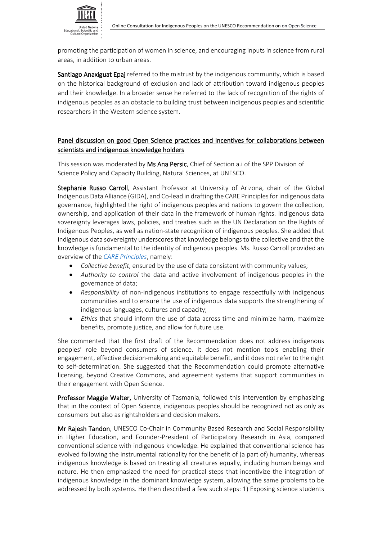promoting the participation of women in science, and encouraging inputs in science from rural areas, in addition to urban areas.

Santiago Anaxiguat Epaj referred to the mistrust by the indigenous community, which is based on the historical background of exclusion and lack of attribution toward indigenous peoples and their knowledge. In a broader sense he referred to the lack of recognition of the rights of indigenous peoples as an obstacle to building trust between indigenous peoples and scientific researchers in the Western science system.

# Panel discussion on good Open Science practices and incentives for collaborations between scientists and indigenous knowledge holders

This session was moderated by Ms Ana Persic, Chief of Section a.i of the SPP Division of Science Policy and Capacity Building, Natural Sciences, at UNESCO.

Stephanie Russo Carroll, Assistant Professor at University of Arizona, chair of the Global Indigenous Data Alliance (GIDA), and Co-lead in drafting the CARE Principles for indigenous data governance, highlighted the right of indigenous peoples and nations to govern the collection, ownership, and application of their data in the framework of human rights. Indigenous data sovereignty leverages laws, policies, and treaties such as the UN Declaration on the Rights of Indigenous Peoples, as well as nation-state recognition of indigenous peoples. She added that indigenous data sovereignty underscores that knowledge belongs to the collective and that the knowledge is fundamental to the identity of indigenous peoples. Ms. Russo Carroll provided an overview of the *[CARE Principles](https://datascience.codata.org/articles/10.5334/dsj-2020-043/)*, namely:

- *Collective benefit*, ensured by the use of data consistent with community values;
- *Authority to control* the data and active involvement of indigenous peoples in the governance of data;
- *Responsibility* of non-indigenous institutions to engage respectfully with indigenous communities and to ensure the use of indigenous data supports the strengthening of indigenous languages, cultures and capacity;
- *Ethics* that should inform the use of data across time and minimize harm, maximize benefits, promote justice, and allow for future use.

She commented that the first draft of the Recommendation does not address indigenous peoples' role beyond consumers of science. It does not mention tools enabling their engagement, effective decision-making and equitable benefit, and it does not refer to the right to self-determination. She suggested that the Recommendation could promote alternative licensing, beyond Creative Commons, and agreement systems that support communities in their engagement with Open Science.

Professor Maggie Walter, University of Tasmania, followed this intervention by emphasizing that in the context of Open Science, indigenous peoples should be recognized not as only as consumers but also as rightsholders and decision makers.

Mr Rajesh Tandon, UNESCO Co-Chair in Community Based Research and Social Responsibility in Higher Education, and Founder-President of Participatory Research in Asia, compared conventional science with indigenous knowledge. He explained that conventional science has evolved following the instrumental rationality for the benefit of (a part of) humanity, whereas indigenous knowledge is based on treating all creatures equally, including human beings and nature. He then emphasized the need for practical steps that incentivize the integration of indigenous knowledge in the dominant knowledge system, allowing the same problems to be addressed by both systems. He then described a few such steps: 1) Exposing science students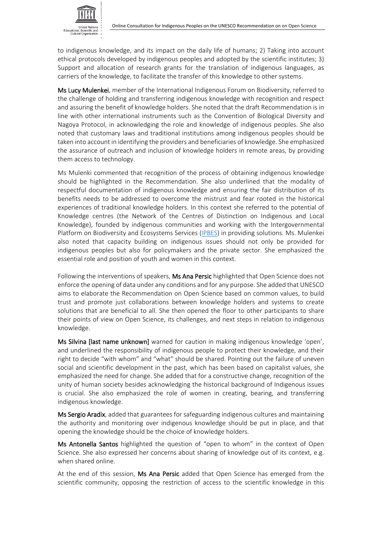to indigenous knowledge, and its impact on the daily life of humans; 2) Taking into account ethical protocols developed by indigenous peoples and adopted by the scientific institutes; 3) Support and allocation of research grants for the translation of indigenous languages, as carriers of the knowledge, to facilitate the transfer of this knowledge to other systems.

Ms Lucy Mulenkei, member of the International Indigenous Forum on Biodiversity, referred to the challenge of holding and transferring indigenous knowledge with recognition and respect and assuring the benefit of knowledge holders. She noted that the draft Recommendation is in line with other international instruments such as the Convention of Biological Diversity and Nagoya Protocol, in acknowledging the role and knowledge of indigenous peoples. She also noted that customary laws and traditional institutions among indigenous peoples should be taken into account in identifying the providers and beneficiaries of knowledge. She emphasized the assurance of outreach and inclusion of knowledge holders in remote areas, by providing them access to technology.

Ms Mulenki commented that recognition of the process of obtaining indigenous knowledge should be highlighted in the Recommendation. She also underlined that the modality of respectful documentation of indigenous knowledge and ensuring the fair distribution of its benefits needs to be addressed to overcome the mistrust and fear rooted in the historical experiences of traditional knowledge holders. In this context she referred to the potential of Knowledge centres (the Network of the Centres of Distinction on Indigenous and Local Knowledge), founded by indigenous communities and working with the Intergovernmental Platform on Biodiversity and Ecosystems Services [\(IPBES\)](https://www.ipbes.net/) in providing solutions. Ms. Mulenkei also noted that capacity building on indigenous issues should not only be provided for indigenous peoples but also for policymakers and the private sector. She emphasized the essential role and position of youth and women in this context.

Following the interventions of speakers, Ms Ana Persic highlighted that Open Science does not enforce the opening of data under any conditions and for any purpose. She added that UNESCO aims to elaborate the Recommendation on Open Science based on common values, to build trust and promote just collaborations between knowledge holders and systems to create solutions that are beneficial to all. She then opened the floor to other participants to share their points of view on Open Science, its challenges, and next steps in relation to indigenous knowledge.

Ms Silvina [last name unknown] warned for caution in making indigenous knowledge 'open', and underlined the responsibility of indigenous people to protect their knowledge, and their right to decide "with whom" and "what" should be shared. Pointing out the failure of uneven social and scientific development in the past, which has been based on capitalist values, she emphasized the need for change. She added that for a constructive change, recognition of the unity of human society besides acknowledging the historical background of Indigenous issues is crucial. She also emphasized the role of women in creating, bearing, and transferring indigenous knowledge.

Ms Sergio Aradix, added that guarantees for safeguarding indigenous cultures and maintaining the authority and monitoring over indigenous knowledge should be put in place, and that opening the knowledge should be the choice of knowledge holders.

Ms Antonella Santos highlighted the question of "open to whom" in the context of Open Science. She also expressed her concerns about sharing of knowledge out of its context, e.g. when shared online.

At the end of this session, Ms Ana Persic added that Open Science has emerged from the scientific community, opposing the restriction of access to the scientific knowledge in this